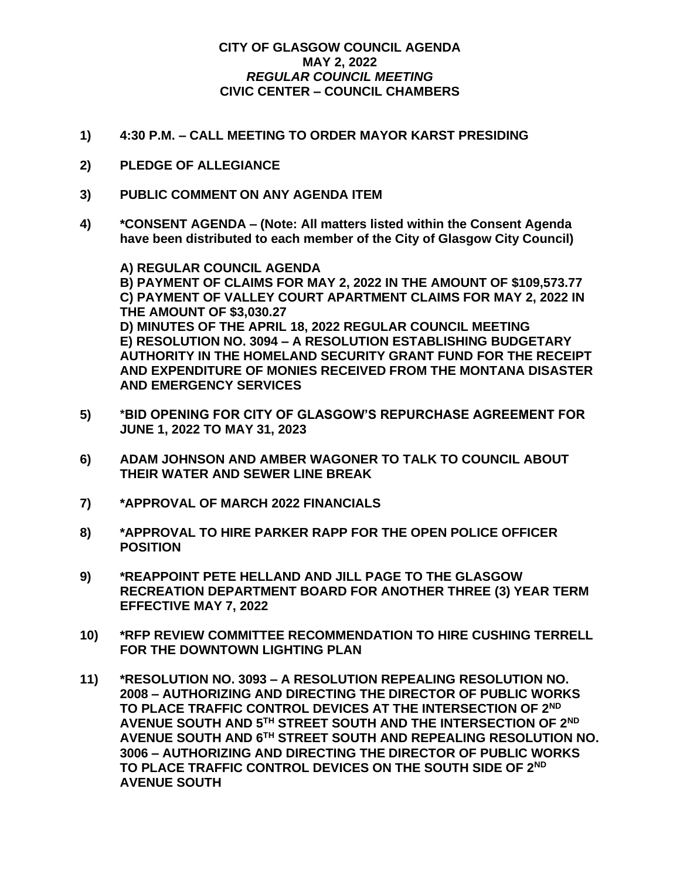## **CITY OF GLASGOW COUNCIL AGENDA MAY 2, 2022** *REGULAR COUNCIL MEETING* **CIVIC CENTER – COUNCIL CHAMBERS**

- **1) 4:30 P.M. – CALL MEETING TO ORDER MAYOR KARST PRESIDING**
- **2) PLEDGE OF ALLEGIANCE**
- **3) PUBLIC COMMENT ON ANY AGENDA ITEM**
- **4) \*CONSENT AGENDA – (Note: All matters listed within the Consent Agenda have been distributed to each member of the City of Glasgow City Council)**

**A) REGULAR COUNCIL AGENDA B) PAYMENT OF CLAIMS FOR MAY 2, 2022 IN THE AMOUNT OF \$109,573.77 C) PAYMENT OF VALLEY COURT APARTMENT CLAIMS FOR MAY 2, 2022 IN THE AMOUNT OF \$3,030.27 D) MINUTES OF THE APRIL 18, 2022 REGULAR COUNCIL MEETING E) RESOLUTION NO. 3094 – A RESOLUTION ESTABLISHING BUDGETARY AUTHORITY IN THE HOMELAND SECURITY GRANT FUND FOR THE RECEIPT AND EXPENDITURE OF MONIES RECEIVED FROM THE MONTANA DISASTER AND EMERGENCY SERVICES**

- **5) \*BID OPENING FOR CITY OF GLASGOW'S REPURCHASE AGREEMENT FOR JUNE 1, 2022 TO MAY 31, 2023**
- **6) ADAM JOHNSON AND AMBER WAGONER TO TALK TO COUNCIL ABOUT THEIR WATER AND SEWER LINE BREAK**
- **7) \*APPROVAL OF MARCH 2022 FINANCIALS**
- **8) \*APPROVAL TO HIRE PARKER RAPP FOR THE OPEN POLICE OFFICER POSITION**
- **9) \*REAPPOINT PETE HELLAND AND JILL PAGE TO THE GLASGOW RECREATION DEPARTMENT BOARD FOR ANOTHER THREE (3) YEAR TERM EFFECTIVE MAY 7, 2022**
- **10) \*RFP REVIEW COMMITTEE RECOMMENDATION TO HIRE CUSHING TERRELL FOR THE DOWNTOWN LIGHTING PLAN**
- **11) \*RESOLUTION NO. 3093 – A RESOLUTION REPEALING RESOLUTION NO. 2008 – AUTHORIZING AND DIRECTING THE DIRECTOR OF PUBLIC WORKS TO PLACE TRAFFIC CONTROL DEVICES AT THE INTERSECTION OF 2ND AVENUE SOUTH AND 5TH STREET SOUTH AND THE INTERSECTION OF 2ND AVENUE SOUTH AND 6TH STREET SOUTH AND REPEALING RESOLUTION NO. 3006 – AUTHORIZING AND DIRECTING THE DIRECTOR OF PUBLIC WORKS TO PLACE TRAFFIC CONTROL DEVICES ON THE SOUTH SIDE OF 2ND AVENUE SOUTH**